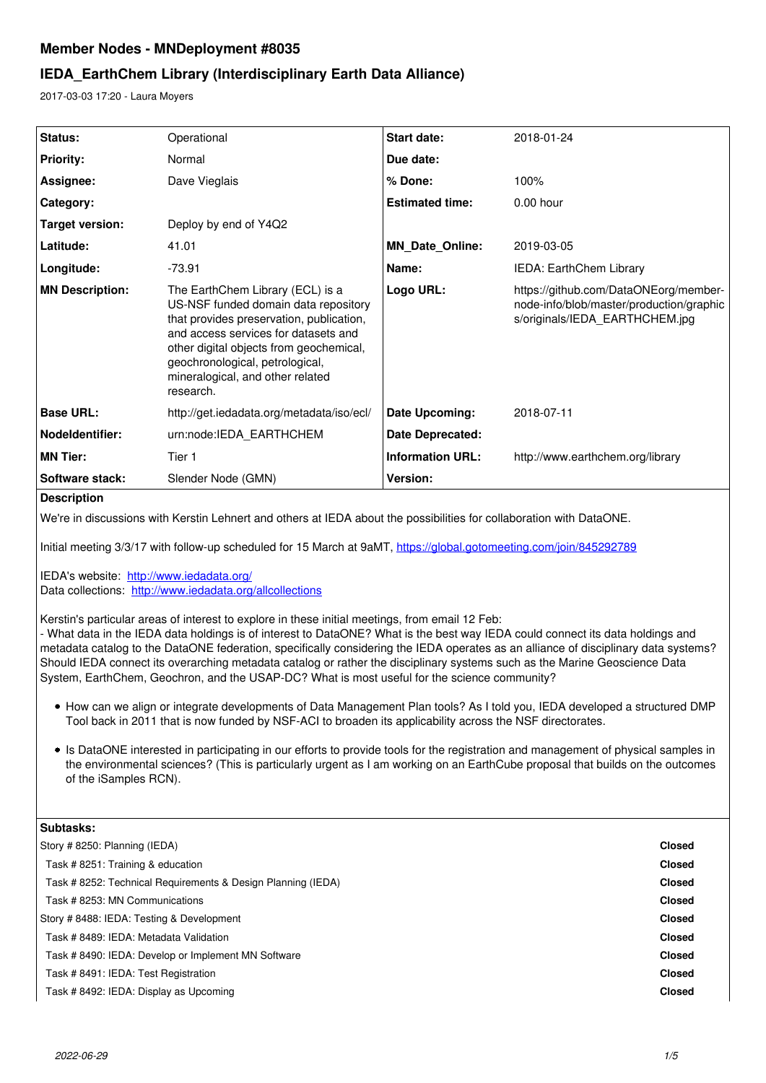# **Member Nodes - MNDeployment #8035**

# **IEDA\_EarthChem Library (Interdisciplinary Earth Data Alliance)**

2017-03-03 17:20 - Laura Moyers

| <b>Status:</b>         | Operational                                                                                                                                                                                                                                                                                 | <b>Start date:</b>      | 2018-01-24                                                                                                          |
|------------------------|---------------------------------------------------------------------------------------------------------------------------------------------------------------------------------------------------------------------------------------------------------------------------------------------|-------------------------|---------------------------------------------------------------------------------------------------------------------|
| <b>Priority:</b>       | Normal                                                                                                                                                                                                                                                                                      | Due date:               |                                                                                                                     |
| Assignee:              | Dave Vieglais                                                                                                                                                                                                                                                                               | % Done:                 | 100%                                                                                                                |
| Category:              |                                                                                                                                                                                                                                                                                             | <b>Estimated time:</b>  | $0.00$ hour                                                                                                         |
| Target version:        | Deploy by end of Y4Q2                                                                                                                                                                                                                                                                       |                         |                                                                                                                     |
| Latitude:              | 41.01                                                                                                                                                                                                                                                                                       | <b>MN Date Online:</b>  | 2019-03-05                                                                                                          |
| Longitude:             | $-73.91$                                                                                                                                                                                                                                                                                    | Name:                   | IEDA: EarthChem Library                                                                                             |
| <b>MN Description:</b> | The EarthChem Library (ECL) is a<br>US-NSF funded domain data repository<br>that provides preservation, publication,<br>and access services for datasets and<br>other digital objects from geochemical,<br>geochronological, petrological,<br>mineralogical, and other related<br>research. | Logo URL:               | https://github.com/DataONEorg/member-<br>node-info/blob/master/production/graphic<br>s/originals/IEDA EARTHCHEM.jpg |
| <b>Base URL:</b>       | http://get.iedadata.org/metadata/iso/ecl/                                                                                                                                                                                                                                                   | Date Upcoming:          | 2018-07-11                                                                                                          |
| Nodeldentifier:        | urn:node:IEDA_EARTHCHEM                                                                                                                                                                                                                                                                     | Date Deprecated:        |                                                                                                                     |
| <b>MN Tier:</b>        | Tier 1                                                                                                                                                                                                                                                                                      | <b>Information URL:</b> | http://www.earthchem.org/library                                                                                    |
| <b>Software stack:</b> | Slender Node (GMN)                                                                                                                                                                                                                                                                          | Version:                |                                                                                                                     |

# **Description**

We're in discussions with Kerstin Lehnert and others at IEDA about the possibilities for collaboration with DataONE.

Initial meeting 3/3/17 with follow-up scheduled for 15 March at 9aMT,<https://global.gotomeeting.com/join/845292789>

IEDA's website: <http://www.iedadata.org/> Data collections: <http://www.iedadata.org/allcollections>

Kerstin's particular areas of interest to explore in these initial meetings, from email 12 Feb:

- What data in the IEDA data holdings is of interest to DataONE? What is the best way IEDA could connect its data holdings and metadata catalog to the DataONE federation, specifically considering the IEDA operates as an alliance of disciplinary data systems? Should IEDA connect its overarching metadata catalog or rather the disciplinary systems such as the Marine Geoscience Data System, EarthChem, Geochron, and the USAP-DC? What is most useful for the science community?

- How can we align or integrate developments of Data Management Plan tools? As I told you, IEDA developed a structured DMP Tool back in 2011 that is now funded by NSF-ACI to broaden its applicability across the NSF directorates.
- Is DataONE interested in participating in our efforts to provide tools for the registration and management of physical samples in the environmental sciences? (This is particularly urgent as I am working on an EarthCube proposal that builds on the outcomes of the iSamples RCN).

| Subtasks:                                                    |               |
|--------------------------------------------------------------|---------------|
| Story #8250: Planning (IEDA)                                 | <b>Closed</b> |
| Task # 8251: Training & education                            | <b>Closed</b> |
| Task # 8252: Technical Requirements & Design Planning (IEDA) | <b>Closed</b> |
| Task # 8253: MN Communications                               | <b>Closed</b> |
| Story # 8488: IEDA: Testing & Development                    | <b>Closed</b> |
| Task # 8489: IEDA: Metadata Validation                       | <b>Closed</b> |
| Task # 8490: IEDA: Develop or Implement MN Software          | <b>Closed</b> |
| Task # 8491: IEDA: Test Registration                         | <b>Closed</b> |
| Task # 8492: IEDA: Display as Upcoming                       | <b>Closed</b> |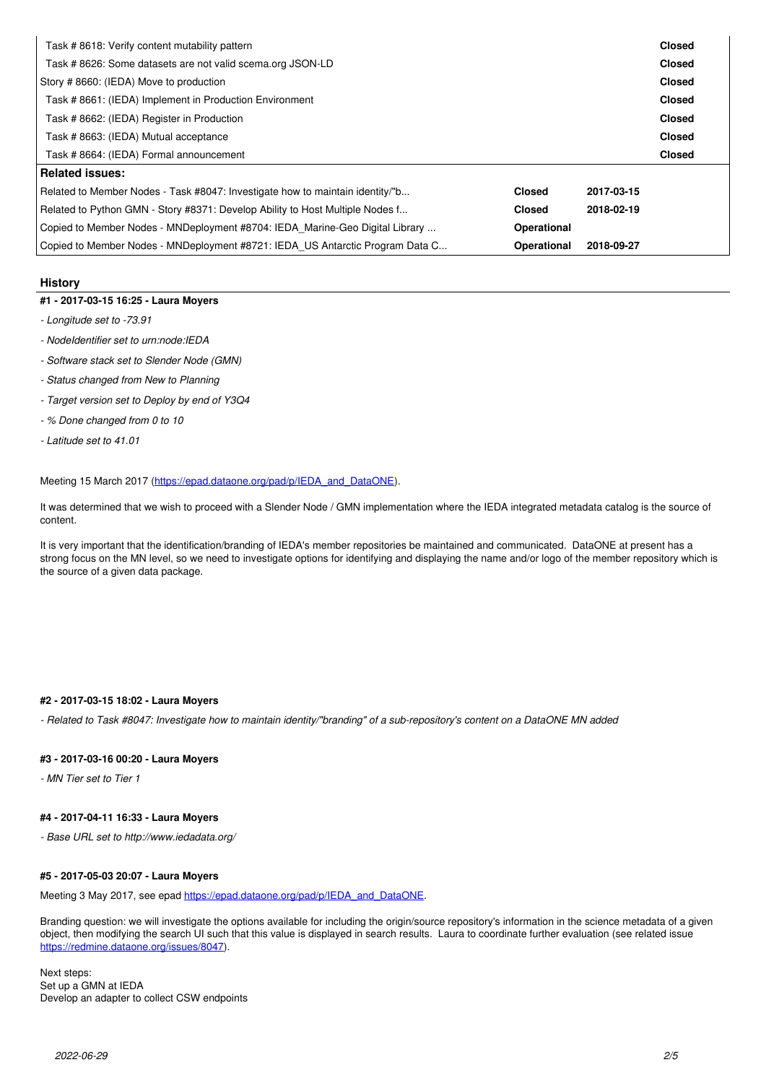| Task #8618: Verify content mutability pattern                                 |             |            | <b>Closed</b> |  |
|-------------------------------------------------------------------------------|-------------|------------|---------------|--|
| Task # 8626: Some datasets are not valid scema.org JSON-LD                    |             |            | <b>Closed</b> |  |
| Story #8660: (IEDA) Move to production                                        |             |            |               |  |
| Task # 8661: (IEDA) Implement in Production Environment                       |             |            |               |  |
| Task # 8662: (IEDA) Register in Production                                    |             |            | <b>Closed</b> |  |
| Task # 8663: (IEDA) Mutual acceptance                                         |             |            | <b>Closed</b> |  |
| Task # 8664: (IEDA) Formal announcement                                       |             |            | <b>Closed</b> |  |
| <b>Related issues:</b>                                                        |             |            |               |  |
| Related to Member Nodes - Task #8047: Investigate how to maintain identity/"b |             | 2017-03-15 |               |  |
| Related to Python GMN - Story #8371: Develop Ability to Host Multiple Nodes f |             | 2018-02-19 |               |  |
| Copied to Member Nodes - MNDeployment #8704: IEDA Marine-Geo Digital Library  | Operational |            |               |  |
| Copied to Member Nodes - MNDeployment #8721: IEDA US Antarctic Program Data C | Operational | 2018-09-27 |               |  |

#### **History**

#### **#1 - 2017-03-15 16:25 - Laura Moyers**

- *Longitude set to -73.91*
- *NodeIdentifier set to urn:node:IEDA*
- *Software stack set to Slender Node (GMN)*
- *Status changed from New to Planning*
- *Target version set to Deploy by end of Y3Q4*
- *% Done changed from 0 to 10*
- *Latitude set to 41.01*

Meeting 15 March 2017 [\(https://epad.dataone.org/pad/p/IEDA\\_and\\_DataONE](https://epad.dataone.org/pad/p/IEDA_and_DataONE)).

It was determined that we wish to proceed with a Slender Node / GMN implementation where the IEDA integrated metadata catalog is the source of content.

It is very important that the identification/branding of IEDA's member repositories be maintained and communicated. DataONE at present has a strong focus on the MN level, so we need to investigate options for identifying and displaying the name and/or logo of the member repository which is the source of a given data package.

# **#2 - 2017-03-15 18:02 - Laura Moyers**

*- Related to Task #8047: Investigate how to maintain identity/"branding" of a sub-repository's content on a DataONE MN added*

#### **#3 - 2017-03-16 00:20 - Laura Moyers**

*- MN Tier set to Tier 1*

#### **#4 - 2017-04-11 16:33 - Laura Moyers**

*- Base URL set to http://www.iedadata.org/*

# **#5 - 2017-05-03 20:07 - Laura Moyers**

Meeting 3 May 2017, see epad [https://epad.dataone.org/pad/p/IEDA\\_and\\_DataONE.](https://epad.dataone.org/pad/p/IEDA_and_DataONE)

Branding question: we will investigate the options available for including the origin/source repository's information in the science metadata of a given object, then modifying the search UI such that this value is displayed in search results. Laura to coordinate further evaluation (see related issue [https://redmine.dataone.org/issues/8047\)](https://redmine.dataone.org/issues/8047).

Next steps: Set up a GMN at IEDA Develop an adapter to collect CSW endpoints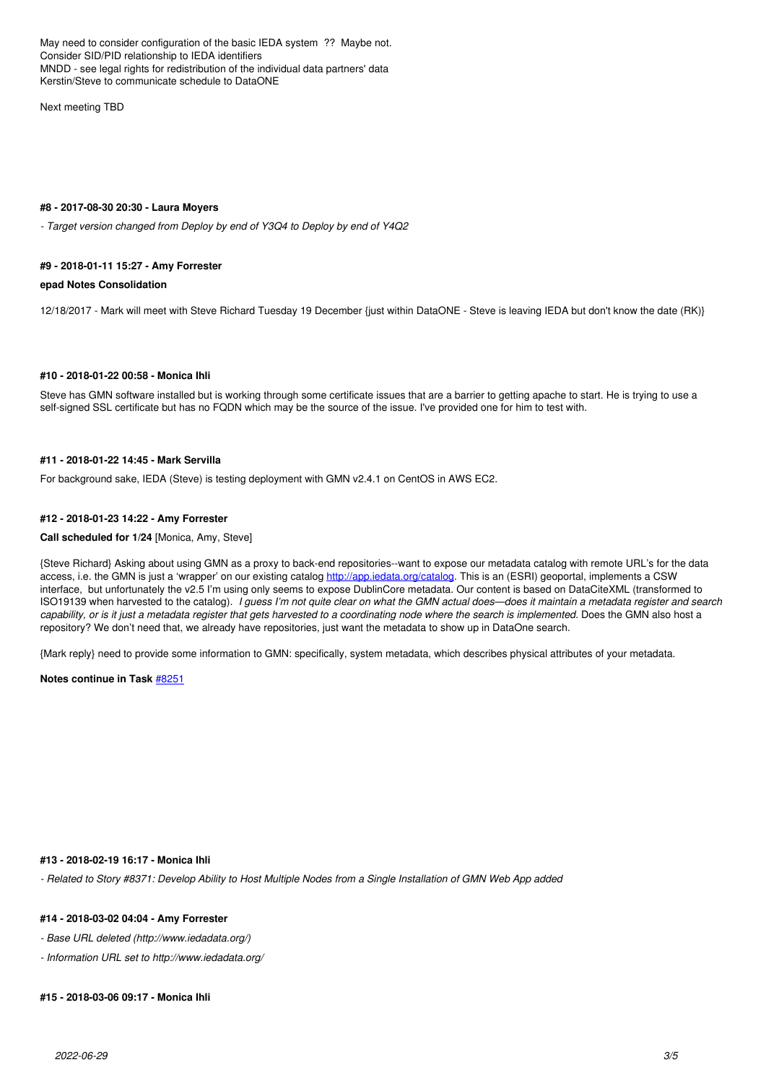May need to consider configuration of the basic IEDA system ?? Maybe not. Consider SID/PID relationship to IEDA identifiers MNDD - see legal rights for redistribution of the individual data partners' data Kerstin/Steve to communicate schedule to DataONE

Next meeting TBD

#### **#8 - 2017-08-30 20:30 - Laura Moyers**

*- Target version changed from Deploy by end of Y3Q4 to Deploy by end of Y4Q2*

#### **#9 - 2018-01-11 15:27 - Amy Forrester**

#### **epad Notes Consolidation**

12/18/2017 - Mark will meet with Steve Richard Tuesday 19 December {just within DataONE - Steve is leaving IEDA but don't know the date (RK)}

#### **#10 - 2018-01-22 00:58 - Monica Ihli**

Steve has GMN software installed but is working through some certificate issues that are a barrier to getting apache to start. He is trying to use a self-signed SSL certificate but has no FQDN which may be the source of the issue. I've provided one for him to test with.

#### **#11 - 2018-01-22 14:45 - Mark Servilla**

For background sake, IEDA (Steve) is testing deployment with GMN v2.4.1 on CentOS in AWS EC2.

#### **#12 - 2018-01-23 14:22 - Amy Forrester**

#### **Call scheduled for 1/24** [Monica, Amy, Steve]

{Steve Richard} Asking about using GMN as a proxy to back-end repositories--want to expose our metadata catalog with remote URL's for the data access, i.e. the GMN is just a 'wrapper' on our existing catalog <http://app.iedata.org/catalog>. This is an (ESRI) geoportal, implements a CSW interface, but unfortunately the v2.5 I'm using only seems to expose DublinCore metadata. Our content is based on DataCiteXML (transformed to ISO19139 when harvested to the catalog). *I guess I'm not quite clear on what the GMN actual does—does it maintain a metadata register and search capability, or is it just a metadata register that gets harvested to a coordinating node where the search is implemented.* Does the GMN also host a repository? We don't need that, we already have repositories, just want the metadata to show up in DataOne search.

{Mark reply} need to provide some information to GMN: specifically, system metadata, which describes physical attributes of your metadata.

**Notes continue in Task** [#8251](https://redmine.dataone.org/issues/8251)

#### **#13 - 2018-02-19 16:17 - Monica Ihli**

*- Related to Story #8371: Develop Ability to Host Multiple Nodes from a Single Installation of GMN Web App added*

#### **#14 - 2018-03-02 04:04 - Amy Forrester**

- *Base URL deleted (http://www.iedadata.org/)*
- *Information URL set to http://www.iedadata.org/*

#### **#15 - 2018-03-06 09:17 - Monica Ihli**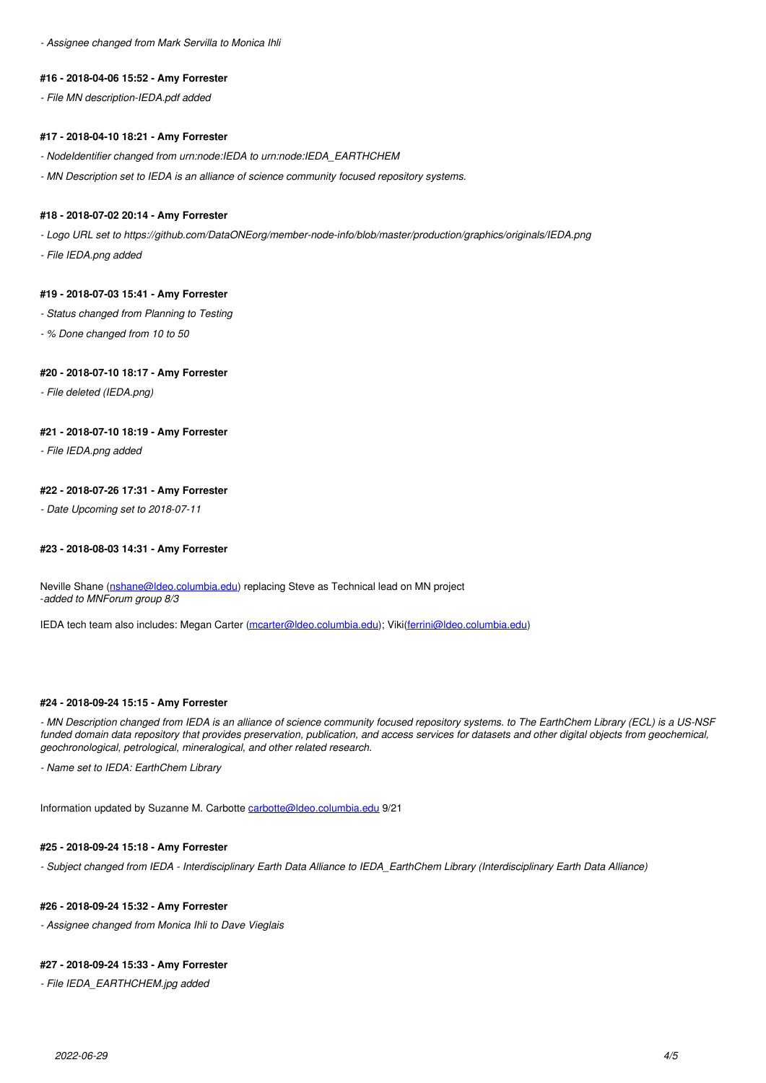*- Assignee changed from Mark Servilla to Monica Ihli*

#### **#16 - 2018-04-06 15:52 - Amy Forrester**

*- File MN description-IEDA.pdf added*

#### **#17 - 2018-04-10 18:21 - Amy Forrester**

*- NodeIdentifier changed from urn:node:IEDA to urn:node:IEDA\_EARTHCHEM*

*- MN Description set to IEDA is an alliance of science community focused repository systems.*

## **#18 - 2018-07-02 20:14 - Amy Forrester**

*- Logo URL set to https://github.com/DataONEorg/member-node-info/blob/master/production/graphics/originals/IEDA.png*

*- File IEDA.png added*

#### **#19 - 2018-07-03 15:41 - Amy Forrester**

- *Status changed from Planning to Testing*
- *% Done changed from 10 to 50*

# **#20 - 2018-07-10 18:17 - Amy Forrester**

*- File deleted (IEDA.png)*

### **#21 - 2018-07-10 18:19 - Amy Forrester**

*- File IEDA.png added*

#### **#22 - 2018-07-26 17:31 - Amy Forrester**

*- Date Upcoming set to 2018-07-11*

# **#23 - 2018-08-03 14:31 - Amy Forrester**

Neville Shane [\(nshane@ldeo.columbia.edu\)](mailto:nshane@ldeo.columbia.edu) replacing Steve as Technical lead on MN project -*added to MNForum group 8/3*

IEDA tech team also includes: Megan Carter ([mcarter@ldeo.columbia.edu](mailto:mcarter@ldeo.columbia.edu)); Viki([ferrini@ldeo.columbia.edu\)](mailto:ferrini@ldeo.columbia.edu)

#### **#24 - 2018-09-24 15:15 - Amy Forrester**

*- MN Description changed from IEDA is an alliance of science community focused repository systems. to The EarthChem Library (ECL) is a US-NSF funded domain data repository that provides preservation, publication, and access services for datasets and other digital objects from geochemical, geochronological, petrological, mineralogical, and other related research.*

*- Name set to IEDA: EarthChem Library*

Information updated by Suzanne M. Carbotte [carbotte@ldeo.columbia.edu](mailto:carbotte@ldeo.columbia.edu) 9/21

#### **#25 - 2018-09-24 15:18 - Amy Forrester**

*- Subject changed from IEDA - Interdisciplinary Earth Data Alliance to IEDA\_EarthChem Library (Interdisciplinary Earth Data Alliance)*

## **#26 - 2018-09-24 15:32 - Amy Forrester**

*- Assignee changed from Monica Ihli to Dave Vieglais*

### **#27 - 2018-09-24 15:33 - Amy Forrester**

*- File IEDA\_EARTHCHEM.jpg added*